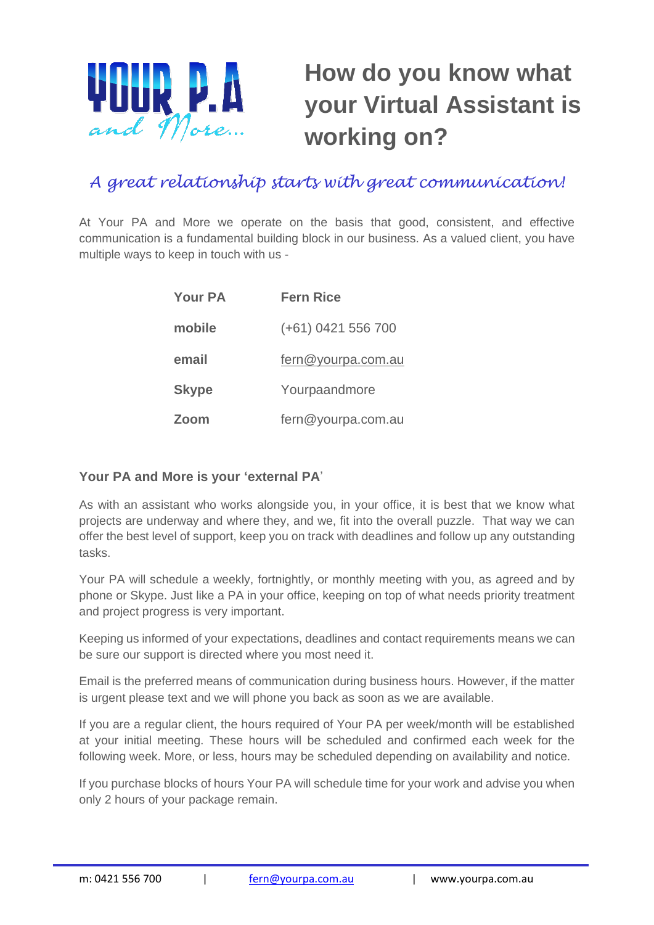

## **How do you know what your Virtual Assistant is working on?**

## *A great relationship starts with great communication!*

At Your PA and More we operate on the basis that good, consistent, and effective communication is a fundamental building block in our business. As a valued client, you have multiple ways to keep in touch with us -

| <b>Your PA</b> | <b>Fern Rice</b>   |
|----------------|--------------------|
| mobile         | (+61) 0421 556 700 |
| email          | fern@yourpa.com.au |
| <b>Skype</b>   | Yourpaandmore      |
| Zoom           | fern@yourpa.com.au |

## **Your PA and More is your 'external PA**'

As with an assistant who works alongside you, in your office, it is best that we know what projects are underway and where they, and we, fit into the overall puzzle. That way we can offer the best level of support, keep you on track with deadlines and follow up any outstanding tasks.

Your PA will schedule a weekly, fortnightly, or monthly meeting with you, as agreed and by phone or Skype. Just like a PA in your office, keeping on top of what needs priority treatment and project progress is very important.

Keeping us informed of your expectations, deadlines and contact requirements means we can be sure our support is directed where you most need it.

Email is the preferred means of communication during business hours. However, if the matter is urgent please text and we will phone you back as soon as we are available.

If you are a regular client, the hours required of Your PA per week/month will be established at your initial meeting. These hours will be scheduled and confirmed each week for the following week. More, or less, hours may be scheduled depending on availability and notice.

If you purchase blocks of hours Your PA will schedule time for your work and advise you when only 2 hours of your package remain.